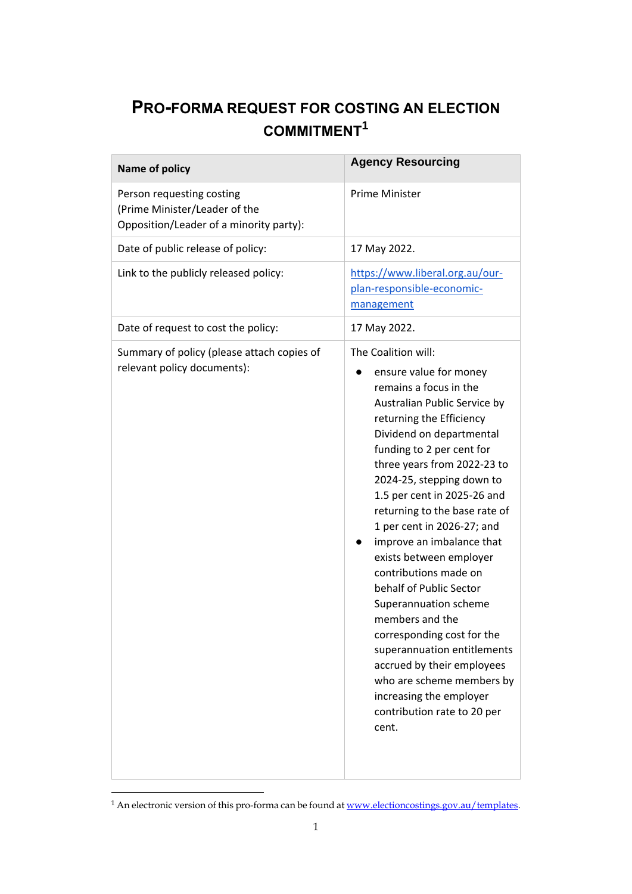## **PRO-FORMA REQUEST FOR COSTING AN ELECTION COMMITMENT<sup>1</sup>**

| Name of policy                                                                                        | <b>Agency Resourcing</b>                                                                                                                                                                                                                                                                                                                                                                                                                                                                                                                                                                                                                                                                                  |
|-------------------------------------------------------------------------------------------------------|-----------------------------------------------------------------------------------------------------------------------------------------------------------------------------------------------------------------------------------------------------------------------------------------------------------------------------------------------------------------------------------------------------------------------------------------------------------------------------------------------------------------------------------------------------------------------------------------------------------------------------------------------------------------------------------------------------------|
| Person requesting costing<br>(Prime Minister/Leader of the<br>Opposition/Leader of a minority party): | <b>Prime Minister</b>                                                                                                                                                                                                                                                                                                                                                                                                                                                                                                                                                                                                                                                                                     |
| Date of public release of policy:                                                                     | 17 May 2022.                                                                                                                                                                                                                                                                                                                                                                                                                                                                                                                                                                                                                                                                                              |
| Link to the publicly released policy:                                                                 | https://www.liberal.org.au/our-<br>plan-responsible-economic-<br>management                                                                                                                                                                                                                                                                                                                                                                                                                                                                                                                                                                                                                               |
| Date of request to cost the policy:                                                                   | 17 May 2022.                                                                                                                                                                                                                                                                                                                                                                                                                                                                                                                                                                                                                                                                                              |
| Summary of policy (please attach copies of<br>relevant policy documents):                             | The Coalition will:<br>ensure value for money<br>remains a focus in the<br>Australian Public Service by<br>returning the Efficiency<br>Dividend on departmental<br>funding to 2 per cent for<br>three years from 2022-23 to<br>2024-25, stepping down to<br>1.5 per cent in 2025-26 and<br>returning to the base rate of<br>1 per cent in 2026-27; and<br>improve an imbalance that<br>exists between employer<br>contributions made on<br>behalf of Public Sector<br>Superannuation scheme<br>members and the<br>corresponding cost for the<br>superannuation entitlements<br>accrued by their employees<br>who are scheme members by<br>increasing the employer<br>contribution rate to 20 per<br>cent. |

<sup>&</sup>lt;sup>1</sup> An electronic version of this pro-forma can be found at <u>www.electioncostings.gov.au/templates</u>.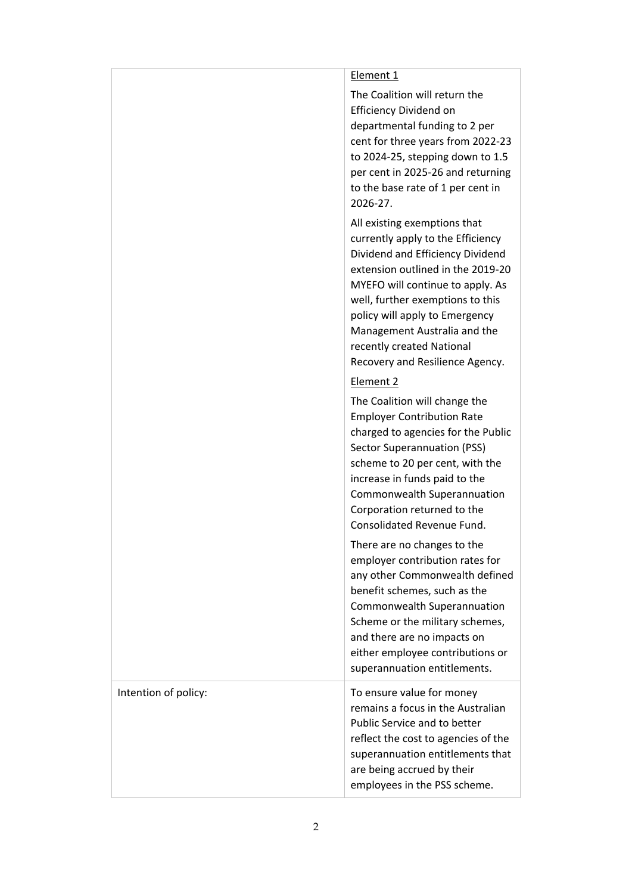|                      | Element 1                                                                                                                                                                                                                                                                                                                                            |
|----------------------|------------------------------------------------------------------------------------------------------------------------------------------------------------------------------------------------------------------------------------------------------------------------------------------------------------------------------------------------------|
|                      | The Coalition will return the<br><b>Efficiency Dividend on</b><br>departmental funding to 2 per<br>cent for three years from 2022-23<br>to 2024-25, stepping down to 1.5<br>per cent in 2025-26 and returning<br>to the base rate of 1 per cent in<br>2026-27.                                                                                       |
|                      | All existing exemptions that<br>currently apply to the Efficiency<br>Dividend and Efficiency Dividend<br>extension outlined in the 2019-20<br>MYEFO will continue to apply. As<br>well, further exemptions to this<br>policy will apply to Emergency<br>Management Australia and the<br>recently created National<br>Recovery and Resilience Agency. |
|                      | Element 2                                                                                                                                                                                                                                                                                                                                            |
|                      | The Coalition will change the<br><b>Employer Contribution Rate</b><br>charged to agencies for the Public<br><b>Sector Superannuation (PSS)</b><br>scheme to 20 per cent, with the<br>increase in funds paid to the<br>Commonwealth Superannuation<br>Corporation returned to the<br>Consolidated Revenue Fund.                                       |
|                      | There are no changes to the<br>employer contribution rates for<br>any other Commonwealth defined<br>benefit schemes, such as the<br>Commonwealth Superannuation<br>Scheme or the military schemes,<br>and there are no impacts on<br>either employee contributions or<br>superannuation entitlements.                                                |
| Intention of policy: | To ensure value for money<br>remains a focus in the Australian<br>Public Service and to better<br>reflect the cost to agencies of the<br>superannuation entitlements that<br>are being accrued by their<br>employees in the PSS scheme.                                                                                                              |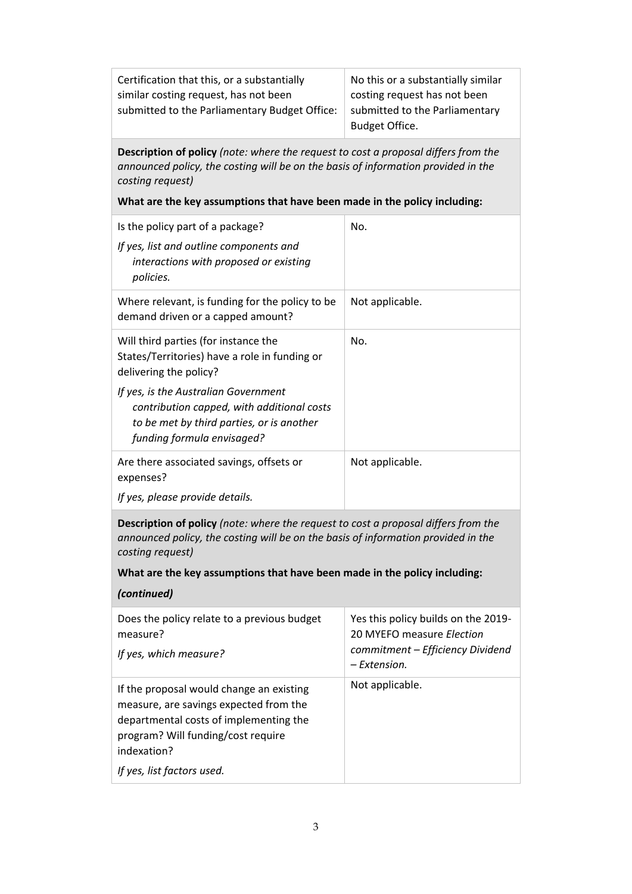| No this or a substantially similar |
|------------------------------------|
| costing request has not been       |
| submitted to the Parliamentary     |
| Budget Office.                     |
|                                    |

**Description of policy** *(note: where the request to cost a proposal differs from the announced policy, the costing will be on the basis of information provided in the costing request)*

## **What are the key assumptions that have been made in the policy including:**

| Is the policy part of a package?<br>If yes, list and outline components and<br>interactions with proposed or existing<br>policies.                            | No.             |
|---------------------------------------------------------------------------------------------------------------------------------------------------------------|-----------------|
| Where relevant, is funding for the policy to be<br>demand driven or a capped amount?                                                                          | Not applicable. |
| Will third parties (for instance the<br>States/Territories) have a role in funding or<br>delivering the policy?                                               | No.             |
| If yes, is the Australian Government<br>contribution capped, with additional costs<br>to be met by third parties, or is another<br>funding formula envisaged? |                 |
| Are there associated savings, offsets or<br>expenses?                                                                                                         | Not applicable. |
| If yes, please provide details.                                                                                                                               |                 |

**Description of policy** *(note: where the request to cost a proposal differs from the announced policy, the costing will be on the basis of information provided in the costing request)* 

## **What are the key assumptions that have been made in the policy including:**

## *(continued)*

| Does the policy relate to a previous budget<br>measure?<br>If yes, which measure?                                                                                                                               | Yes this policy builds on the 2019-<br>20 MYEFO measure <i>Election</i><br>commitment - Efficiency Dividend<br>– Extension. |
|-----------------------------------------------------------------------------------------------------------------------------------------------------------------------------------------------------------------|-----------------------------------------------------------------------------------------------------------------------------|
| If the proposal would change an existing<br>measure, are savings expected from the<br>departmental costs of implementing the<br>program? Will funding/cost require<br>indexation?<br>If yes, list factors used. | Not applicable.                                                                                                             |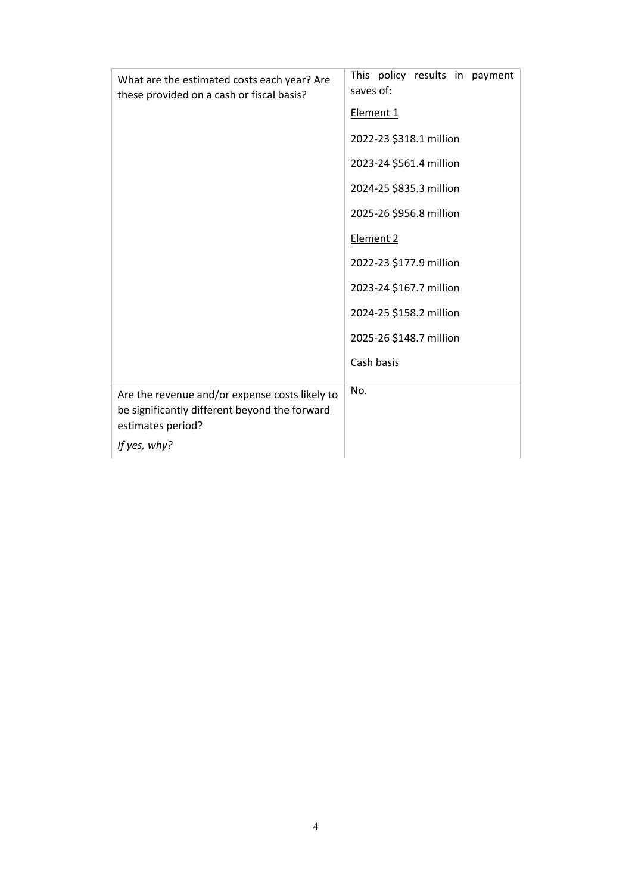| What are the estimated costs each year? Are<br>these provided on a cash or fiscal basis?                             | This policy results in payment<br>saves of:<br>Element 1<br>2022-23 \$318.1 million<br>2023-24 \$561.4 million<br>2024-25 \$835.3 million<br>2025-26 \$956.8 million<br>Element 2<br>2022-23 \$177.9 million<br>2023-24 \$167.7 million<br>2024-25 \$158.2 million<br>2025-26 \$148.7 million |
|----------------------------------------------------------------------------------------------------------------------|-----------------------------------------------------------------------------------------------------------------------------------------------------------------------------------------------------------------------------------------------------------------------------------------------|
|                                                                                                                      | Cash basis                                                                                                                                                                                                                                                                                    |
| Are the revenue and/or expense costs likely to<br>be significantly different beyond the forward<br>estimates period? | No.                                                                                                                                                                                                                                                                                           |
| If yes, why?                                                                                                         |                                                                                                                                                                                                                                                                                               |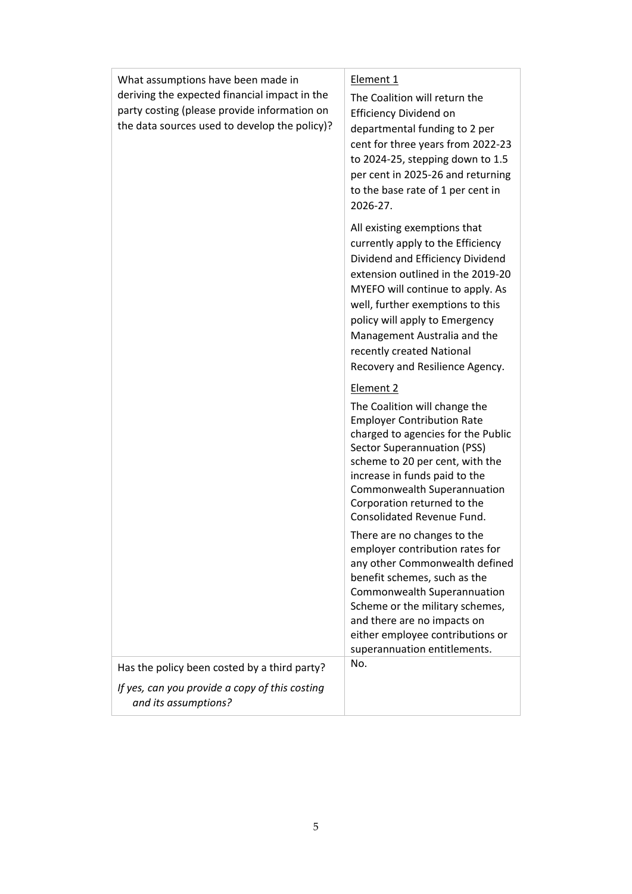| What assumptions have been made in<br>deriving the expected financial impact in the<br>party costing (please provide information on<br>the data sources used to develop the policy)? | Element 1<br>The Coalition will return the<br><b>Efficiency Dividend on</b><br>departmental funding to 2 per<br>cent for three years from 2022-23<br>to 2024-25, stepping down to 1.5<br>per cent in 2025-26 and returning<br>to the base rate of 1 per cent in<br>2026-27.                                                                          |
|--------------------------------------------------------------------------------------------------------------------------------------------------------------------------------------|------------------------------------------------------------------------------------------------------------------------------------------------------------------------------------------------------------------------------------------------------------------------------------------------------------------------------------------------------|
|                                                                                                                                                                                      | All existing exemptions that<br>currently apply to the Efficiency<br>Dividend and Efficiency Dividend<br>extension outlined in the 2019-20<br>MYEFO will continue to apply. As<br>well, further exemptions to this<br>policy will apply to Emergency<br>Management Australia and the<br>recently created National<br>Recovery and Resilience Agency. |
|                                                                                                                                                                                      | Element 2<br>The Coalition will change the<br><b>Employer Contribution Rate</b><br>charged to agencies for the Public<br><b>Sector Superannuation (PSS)</b><br>scheme to 20 per cent, with the<br>increase in funds paid to the<br>Commonwealth Superannuation<br>Corporation returned to the<br>Consolidated Revenue Fund.                          |
|                                                                                                                                                                                      | There are no changes to the<br>employer contribution rates for<br>any other Commonwealth defined<br>benefit schemes, such as the<br>Commonwealth Superannuation<br>Scheme or the military schemes,<br>and there are no impacts on<br>either employee contributions or<br>superannuation entitlements.                                                |
| Has the policy been costed by a third party?                                                                                                                                         | No.                                                                                                                                                                                                                                                                                                                                                  |
| If yes, can you provide a copy of this costing<br>and its assumptions?                                                                                                               |                                                                                                                                                                                                                                                                                                                                                      |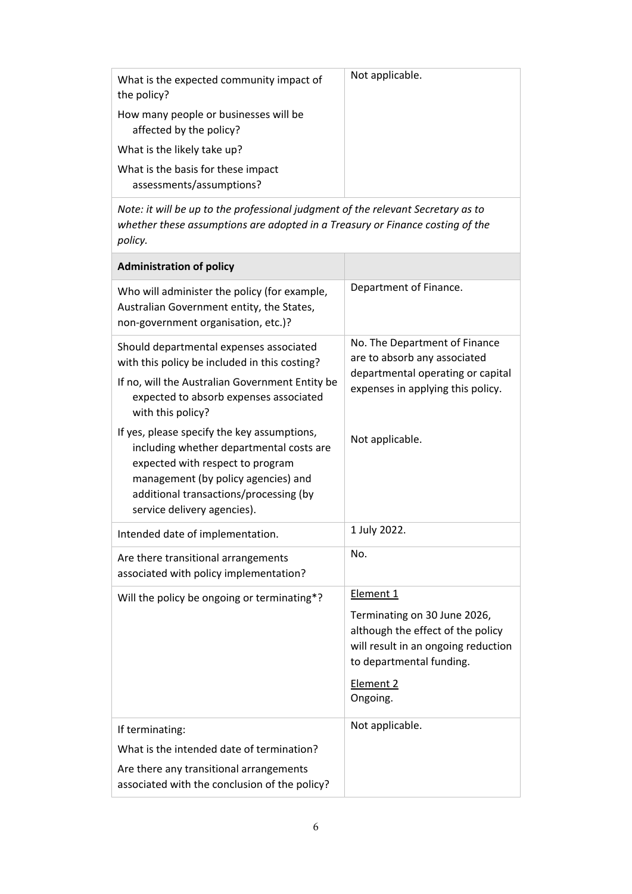| What is the expected community impact of<br>the policy?<br>How many people or businesses will be<br>affected by the policy?<br>What is the likely take up?<br>What is the basis for these impact<br>assessments/assumptions?<br>Note: it will be up to the professional judgment of the relevant Secretary as to<br>whether these assumptions are adopted in a Treasury or Finance costing of the<br>policy. | Not applicable.                                                                                                                                                            |
|--------------------------------------------------------------------------------------------------------------------------------------------------------------------------------------------------------------------------------------------------------------------------------------------------------------------------------------------------------------------------------------------------------------|----------------------------------------------------------------------------------------------------------------------------------------------------------------------------|
| <b>Administration of policy</b>                                                                                                                                                                                                                                                                                                                                                                              |                                                                                                                                                                            |
| Who will administer the policy (for example,<br>Australian Government entity, the States,<br>non-government organisation, etc.)?                                                                                                                                                                                                                                                                             | Department of Finance.                                                                                                                                                     |
| Should departmental expenses associated<br>with this policy be included in this costing?<br>If no, will the Australian Government Entity be<br>expected to absorb expenses associated<br>with this policy?                                                                                                                                                                                                   | No. The Department of Finance<br>are to absorb any associated<br>departmental operating or capital<br>expenses in applying this policy.                                    |
| If yes, please specify the key assumptions,<br>including whether departmental costs are<br>expected with respect to program<br>management (by policy agencies) and<br>additional transactions/processing (by<br>service delivery agencies).                                                                                                                                                                  | Not applicable.                                                                                                                                                            |
| Intended date of implementation.                                                                                                                                                                                                                                                                                                                                                                             | 1 July 2022.                                                                                                                                                               |
| Are there transitional arrangements<br>associated with policy implementation?                                                                                                                                                                                                                                                                                                                                | No.                                                                                                                                                                        |
| Will the policy be ongoing or terminating*?                                                                                                                                                                                                                                                                                                                                                                  | Element 1<br>Terminating on 30 June 2026,<br>although the effect of the policy<br>will result in an ongoing reduction<br>to departmental funding.<br>Element 2<br>Ongoing. |
| If terminating:                                                                                                                                                                                                                                                                                                                                                                                              | Not applicable.                                                                                                                                                            |
| What is the intended date of termination?                                                                                                                                                                                                                                                                                                                                                                    |                                                                                                                                                                            |
| Are there any transitional arrangements<br>associated with the conclusion of the policy?                                                                                                                                                                                                                                                                                                                     |                                                                                                                                                                            |